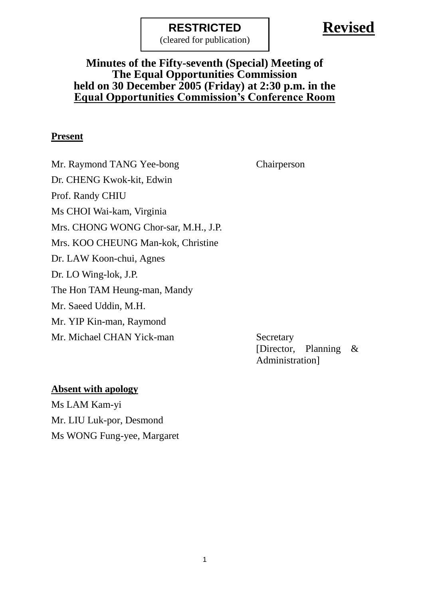(cleared for publication)

# **Revised**

#### **Minutes of the Fifty-seventh (Special) Meeting of The Equal Opportunities Commission held on 30 December 2005 (Friday) at 2:30 p.m. in the Equal Opportunities Commission's Conference Room**

#### **Present**

Mr. Raymond TANG Yee-bong Chairperson Dr. CHENG Kwok-kit, Edwin Prof. Randy CHIU Ms CHOI Wai-kam, Virginia Mrs. CHONG WONG Chor-sar, M.H., J.P. Mrs. KOO CHEUNG Man-kok, Christine Dr. LAW Koon-chui, Agnes Dr. LO Wing-lok, J.P. The Hon TAM Heung-man, Mandy Mr. Saeed Uddin, M.H. Mr. YIP Kin-man, Raymond Mr. Michael CHAN Yick-man Secretary

[Director, Planning & Administration]

#### **Absent with apology**

Ms LAM Kam-yi Mr. LIU Luk-por, Desmond Ms WONG Fung-yee, Margaret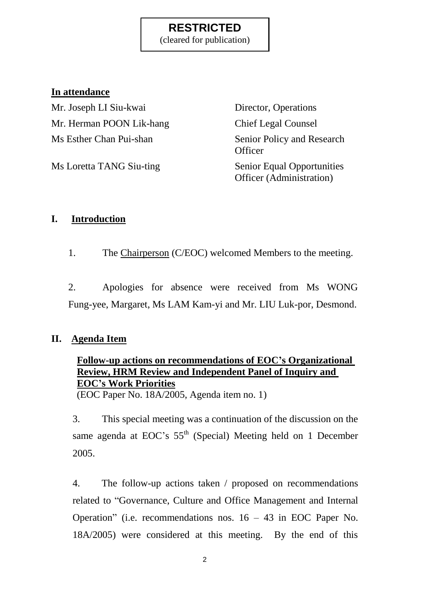(cleared for publication)

#### **In attendance**

Mr. Joseph LI Siu-kwai Director, Operations Mr. Herman POON Lik-hang Chief Legal Counsel Ms Esther Chan Pui-shan Senior Policy and Research

Ms Loretta TANG Siu-ting Senior Equal Opportunities

**Officer** Officer (Administration)

#### **I. Introduction**

1. The Chairperson (C/EOC) welcomed Members to the meeting.

2. Apologies for absence were received from Ms WONG Fung-yee, Margaret, Ms LAM Kam-yi and Mr. LIU Luk-por, Desmond.

#### **II. Agenda Item**

## **Follow-up actions on recommendations of EOC's Organizational Review, HRM Review and Independent Panel of Inquiry and EOC's Work Priorities**

(EOC Paper No. 18A/2005, Agenda item no. 1)

3. This special meeting was a continuation of the discussion on the same agenda at EOC's 55<sup>th</sup> (Special) Meeting held on 1 December 2005.

4. The follow-up actions taken / proposed on recommendations related to "Governance, Culture and Office Management and Internal Operation" (i.e. recommendations nos. 16 – 43 in EOC Paper No. 18A/2005) were considered at this meeting. By the end of this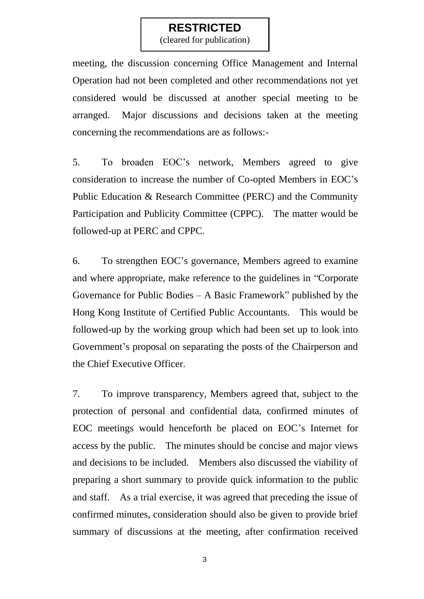(cleared for publication)

meeting, the discussion concerning Office Management and Internal Operation had not been completed and other recommendations not yet considered would be discussed at another special meeting to be arranged. Major discussions and decisions taken at the meeting concerning the recommendations are as follows:-

5. To broaden EOC's network, Members agreed to give consideration to increase the number of Co-opted Members in EOC's Public Education & Research Committee (PERC) and the Community Participation and Publicity Committee (CPPC). The matter would be followed-up at PERC and CPPC.

6. To strengthen EOC's governance, Members agreed to examine and where appropriate, make reference to the guidelines in "Corporate Governance for Public Bodies – A Basic Framework" published by the Hong Kong Institute of Certified Public Accountants. This would be followed-up by the working group which had been set up to look into Government's proposal on separating the posts of the Chairperson and the Chief Executive Officer.

7. To improve transparency, Members agreed that, subject to the protection of personal and confidential data, confirmed minutes of EOC meetings would henceforth be placed on EOC's Internet for access by the public. The minutes should be concise and major views and decisions to be included. Members also discussed the viability of preparing a short summary to provide quick information to the public and staff. As a trial exercise, it was agreed that preceding the issue of confirmed minutes, consideration should also be given to provide brief summary of discussions at the meeting, after confirmation received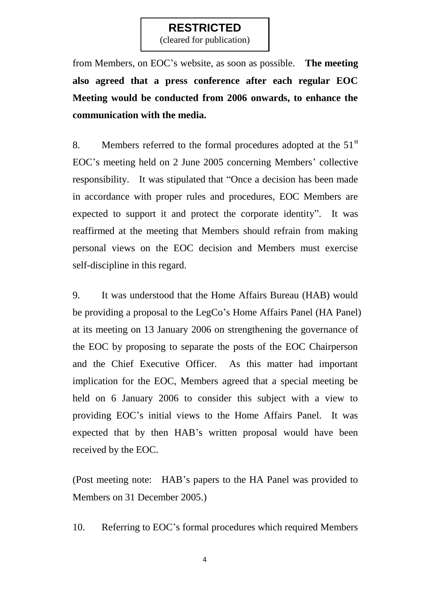(cleared for publication)

from Members, on EOC's website, as soon as possible. **The meeting also agreed that a press conference after each regular EOC Meeting would be conducted from 2006 onwards, to enhance the communication with the media.**

8. Members referred to the formal procedures adopted at the  $51<sup>st</sup>$ EOC's meeting held on 2 June 2005 concerning Members' collective responsibility. It was stipulated that "Once a decision has been made in accordance with proper rules and procedures, EOC Members are expected to support it and protect the corporate identity". It was reaffirmed at the meeting that Members should refrain from making personal views on the EOC decision and Members must exercise self-discipline in this regard.

9. It was understood that the Home Affairs Bureau (HAB) would be providing a proposal to the LegCo's Home Affairs Panel (HA Panel) at its meeting on 13 January 2006 on strengthening the governance of the EOC by proposing to separate the posts of the EOC Chairperson and the Chief Executive Officer. As this matter had important implication for the EOC, Members agreed that a special meeting be held on 6 January 2006 to consider this subject with a view to providing EOC's initial views to the Home Affairs Panel. It was expected that by then HAB's written proposal would have been received by the EOC.

(Post meeting note: HAB's papers to the HA Panel was provided to Members on 31 December 2005.)

10. Referring to EOC's formal procedures which required Members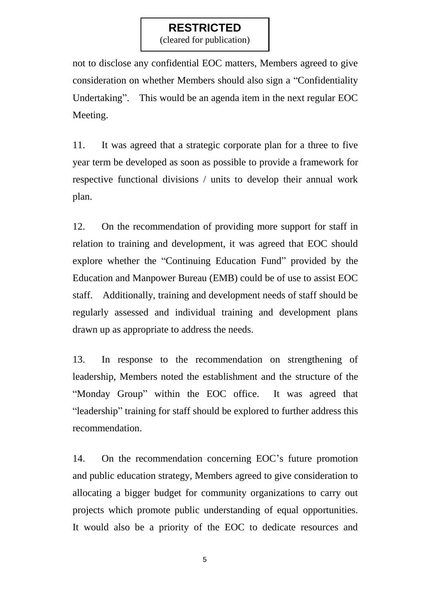(cleared for publication)

not to disclose any confidential EOC matters, Members agreed to give consideration on whether Members should also sign a "Confidentiality Undertaking". This would be an agenda item in the next regular EOC Meeting.

11. It was agreed that a strategic corporate plan for a three to five year term be developed as soon as possible to provide a framework for respective functional divisions / units to develop their annual work plan.

12. On the recommendation of providing more support for staff in relation to training and development, it was agreed that EOC should explore whether the "Continuing Education Fund" provided by the Education and Manpower Bureau (EMB) could be of use to assist EOC staff. Additionally, training and development needs of staff should be regularly assessed and individual training and development plans drawn up as appropriate to address the needs.

13. In response to the recommendation on strengthening of leadership, Members noted the establishment and the structure of the "Monday Group" within the EOC office. It was agreed that "leadership" training for staff should be explored to further address this recommendation.

14. On the recommendation concerning EOC's future promotion and public education strategy, Members agreed to give consideration to allocating a bigger budget for community organizations to carry out projects which promote public understanding of equal opportunities. It would also be a priority of the EOC to dedicate resources and

5